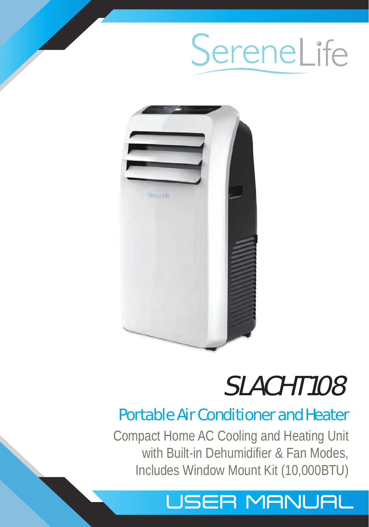# SereneLife



## SLACHT108

## Portable Air Conditioner and Heater

Compact Home AC Cooling and Heating Unit with Built-in Dehumidifier & Fan Modes, Includes Window Mount Kit (10,000BTU)

## USER MANUAL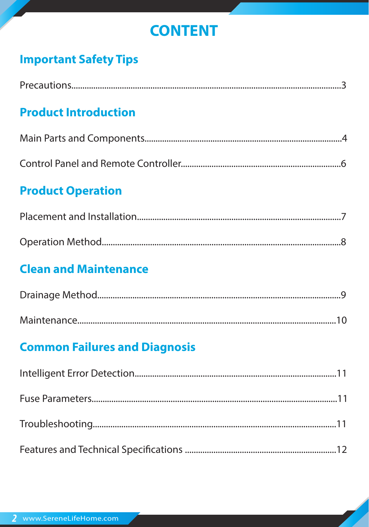## **CONTENT**

## **Important Safety Tips**

|--|

#### **Product Introduction**

## **Product Operation**

| Oneration Method |  |
|------------------|--|

## **Clean and Maintenance**

## **Common Failures and Diagnosis**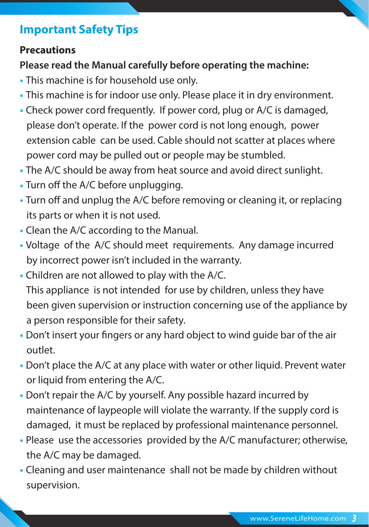#### **Important Safety Tips**

#### **Precautions**

#### **Please read the Manual carefully before operating the machine:**

- **•** This machine is for household use only.
- **•** This machine is for indoor use only. Please place it in dry environment.
- **•** Check power cord frequently. If power cord, plug or A/C is damaged, please don't operate. If the power cord is not long enough, power extension cable can be used. Cable should not scatter at places where power cord may be pulled out or people may be stumbled.
- **•** The A/C should be away from heat source and avoid direct sunlight.
- Turn off the A/C before unplugging.
- Turn off and unplug the A/C before removing or cleaning it, or replacing its parts or when it is not used.
- **•** Clean the A/C according to the Manual.
- **•** Voltage of the A/C should meet requirements. Any damage incurred by incorrect power isn't included in the warranty.
- **•** Children are not allowed to play with the A/C. This appliance is not intended for use by children, unless they have been given supervision or instruction concerning use of the appliance by a person responsible for their safety.
- Don't insert your fingers or any hard object to wind guide bar of the air outlet.
- **•** Don't place the A/C at any place with water or other liquid. Prevent water or liquid from entering the A/C.
- **•** Don't repair the A/C by yourself. Any possible hazard incurred by maintenance of laypeople will violate the warranty. If the supply cord is damaged, it must be replaced by professional maintenance personnel.
- **•** Please use the accessories provided by the A/C manufacturer; otherwise, the A/C may be damaged.
- **•** Cleaning and user maintenance shall not be made by children without supervision.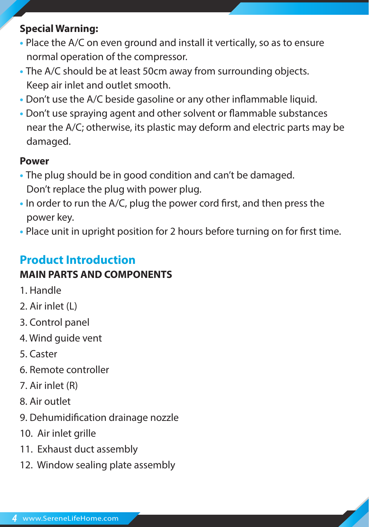#### **Special Warning:**

- **•** Place the A/C on even ground and install it vertically, so as to ensure normal operation of the compressor.
- **•** The A/C should be at least 50cm away from surrounding objects. Keep air inlet and outlet smooth.
- Don't use the A/C beside gasoline or any other inflammable liquid.
- Don't use spraying agent and other solvent or flammable substances near the A/C; otherwise, its plastic may deform and electric parts may be damaged.

#### **Power**

- **•** The plug should be in good condition and can't be damaged. Don't replace the plug with power plug.
- In order to run the A/C, plug the power cord first, and then press the power key.
- Place unit in upright position for 2 hours before turning on for first time.

#### **Product Introduction MAIN PARTS AND COMPONENTS**

- 1. Handle
- 2. Air inlet (L)
- 3. Control panel
- 4. Wind guide vent
- 5. Caster
- 6. Remote controller
- 7. Air inlet (R)
- 8. Air outlet
- 9. Dehumidification drainage nozzle
- 10. Air inlet grille
- 11. Exhaust duct assembly
- 12. Window sealing plate assembly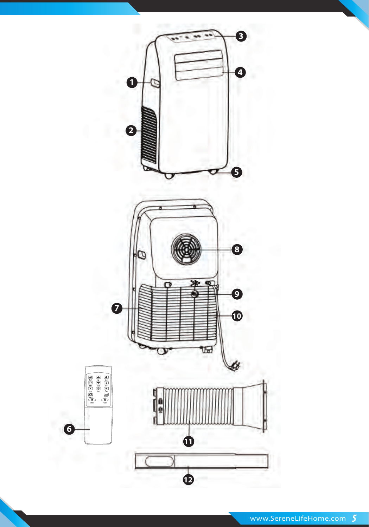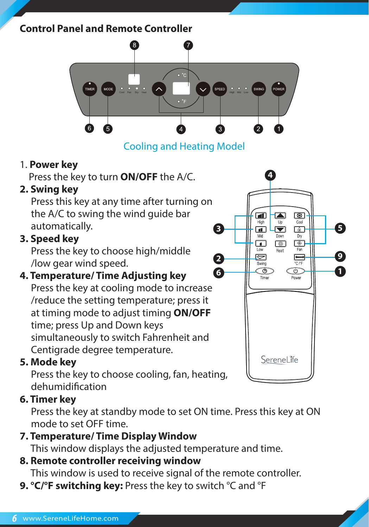#### **Control Panel and Remote Controller**



Cooling and Heating Model

#### 1. **Power key**

Press the key to turn **ON/OFF** the A/C.

#### **2. Swing key**

 Press this key at any time after turning on the A/C to swing the wind guide bar automatically.

#### **3. Speed key**

 Press the key to choose high/middle /low gear wind speed.

#### **4. Temperature/ Time Adjusting key**

 Press the key at cooling mode to increase /reduce the setting temperature; press it at timing mode to adjust timing **ON/OFF** time; press Up and Down keys simultaneously to switch Fahrenheit and Centigrade degree temperature.

#### **5. Mode key**

 Press the key to choose cooling, fan, heating, dehumidification

#### **6. Timer key**

 Press the key at standby mode to set ON time. Press this key at ON mode to set OFF time.

#### **7. Temperature/ Time Display Window**

This window displays the adjusted temperature and time.

#### **8. Remote controller receiving window**

This window is used to receive signal of the remote controller.

**9. °C/°F switching key:** Press the key to switch °C and °F



**2**

**3**

**6 1**

 $\blacksquare$ 

 $\blacksquare$ 

發

 $\boxed{\circledast}$ 

 $\overline{\text{Coul}}$ 

 $\circledcirc$ 

Dry

圖

**9**

**5**

**4**

 $\blacksquare$ 

High

 $\blacksquare$ 

Mid

 $\Box$ 

Ø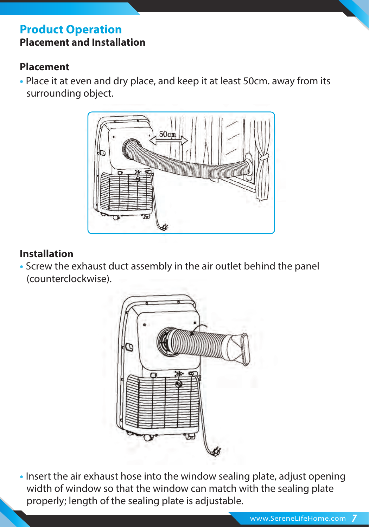#### **Product Operation Placement and Installation**

#### **Placement**

**•** Place it at even and dry place, and keep it at least 50cm. away from its surrounding object.



#### **Installation**

**•** Screw the exhaust duct assembly in the air outlet behind the panel (counterclockwise).



**•** Insert the air exhaust hose into the window sealing plate, adjust opening width of window so that the window can match with the sealing plate properly; length of the sealing plate is adjustable.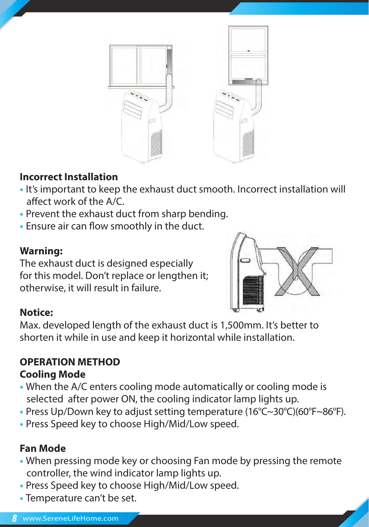

#### **Incorrect Installation**

- **•** It's important to keep the exhaust duct smooth. Incorrect installation will affect work of the  $A/C$ .
- **•** Prevent the exhaust duct from sharp bending.
- Ensure air can flow smoothly in the duct.

#### **Warning:**

The exhaust duct is designed especially for this model. Don't replace or lengthen it; otherwise, it will result in failure.



#### **Notice:**

Max. developed length of the exhaust duct is 1,500mm. It's better to shorten it while in use and keep it horizontal while installation.

#### **OPERATION METHOD**

#### **Cooling Mode**

- **•** When the A/C enters cooling mode automatically or cooling mode is selected after power ON, the cooling indicator lamp lights up.
- **•** Press Up/Down key to adjust setting temperature (16°C~30°C)(60°F~86°F).
- **•** Press Speed key to choose High/Mid/Low speed.

#### **Fan Mode**

- **•** When pressing mode key or choosing Fan mode by pressing the remote controller, the wind indicator lamp lights up.
- **•** Press Speed key to choose High/Mid/Low speed.
- **•** Temperature can't be set.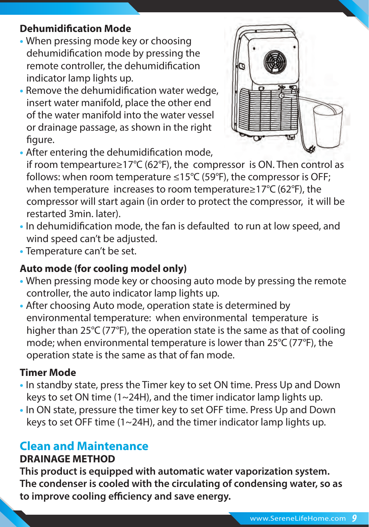#### **Dehumidification Mode**

- **•** When pressing mode key or choosing dehumidification mode by pressing the remote controller, the dehumidification indicator lamp lights up.
- Remove the dehumidification water wedge, insert water manifold, place the other end of the water manifold into the water vessel or drainage passage, as shown in the right figure.



- After entering the dehumidification mode, if room tempearture≥17°C (62°F), the compressor is ON. Then control as follows: when room temperature ≤15°C (59°F), the compressor is OFF; when temperature increases to room temperature≥17°C (62°F), the compressor will start again (in order to protect the compressor, it will be restarted 3min. later).
- In dehumidification mode, the fan is defaulted to run at low speed, and wind speed can't be adjusted.
- **•** Temperature can't be set.

#### **Auto mode (for cooling model only)**

- **•** When pressing mode key or choosing auto mode by pressing the remote controller, the auto indicator lamp lights up.
- **•** After choosing Auto mode, operation state is determined by environmental temperature: when environmental temperature is higher than 25°C (77°F), the operation state is the same as that of cooling mode; when environmental temperature is lower than 25°C (77°F), the operation state is the same as that of fan mode.

#### **Timer Mode**

- **•** In standby state, press the Timer key to set ON time. Press Up and Down keys to set ON time (1~24H), and the timer indicator lamp lights up.
- **•** In ON state, pressure the timer key to set OFF time. Press Up and Down keys to set OFF time (1~24H), and the timer indicator lamp lights up.

#### **Clean and Maintenance**

#### **DRAINAGE METHOD**

**This product is equipped with automatic water vaporization system. The condenser is cooled with the circulating of condensing water, so as**  to improve cooling efficiency and save energy.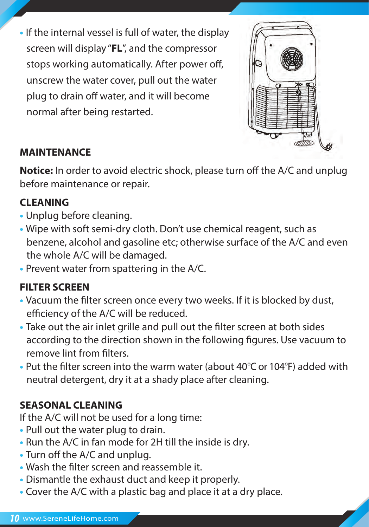**•** If the internal vessel is full of water, the display screen will display "**FL**", and the compressor stops working automatically. After power off, unscrew the water cover, pull out the water plug to drain off water, and it will become normal after being restarted.



#### **MAINTENANCE**

**Notice:** In order to avoid electric shock, please turn off the A/C and unplug before maintenance or repair.

#### **CLEANING**

- **•** Unplug before cleaning.
- **•** Wipe with soft semi-dry cloth. Don't use chemical reagent, such as benzene, alcohol and gasoline etc; otherwise surface of the A/C and even the whole A/C will be damaged.
- **•** Prevent water from spattering in the A/C.

#### **FILTER SCREEN**

- Vacuum the filter screen once every two weeks. If it is blocked by dust, efficiency of the A/C will be reduced.
- Take out the air inlet grille and pull out the filter screen at both sides according to the direction shown in the following figures. Use vacuum to remove lint from filters
- Put the filter screen into the warm water (about 40°C or 104°F) added with neutral detergent, dry it at a shady place after cleaning.

#### **SEASONAL CLEANING**

If the A/C will not be used for a long time:

- **•** Pull out the water plug to drain.
- **•** Run the A/C in fan mode for 2H till the inside is dry.
- Turn off the A/C and unplug.
- Wash the filter screen and reassemble it.
- **•** Dismantle the exhaust duct and keep it properly.
- **•** Cover the A/C with a plastic bag and place it at a dry place.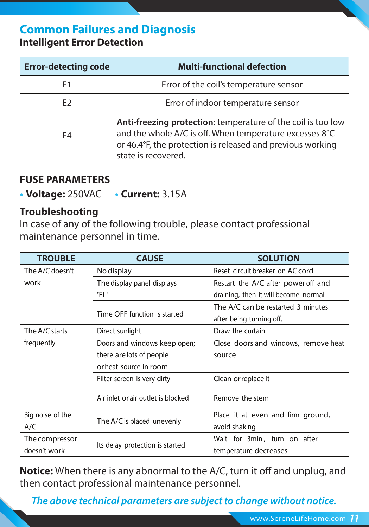#### **Common Failures and Diagnosis Intelligent Error Detection**

| <b>Error-detecting code</b> | <b>Multi-functional defection</b>                                                                                                                                                                            |  |
|-----------------------------|--------------------------------------------------------------------------------------------------------------------------------------------------------------------------------------------------------------|--|
| E1                          | Error of the coil's temperature sensor                                                                                                                                                                       |  |
| F2                          | Error of indoor temperature sensor                                                                                                                                                                           |  |
| F4                          | Anti-freezing protection: temperature of the coil is too low<br>and the whole A/C is off. When temperature excesses 8°C<br>or 46.4°F, the protection is released and previous working<br>state is recovered. |  |

#### **FUSE PARAMETERS**

**• Voltage:** 250VAC **• Current:** 3.15A

#### **Troubleshooting**

In case of any of the following trouble, please contact professional maintenance personnel in time.

| <b>TROUBLE</b>   | <b>CAUSE</b>                       | <b>SOLUTION</b>                      |
|------------------|------------------------------------|--------------------------------------|
| The A/C doesn't  | No display                         | Reset circuit breaker on AC cord     |
| work             | The display panel displays         | Restart the A/C after power off and  |
|                  | "FL"                               | draining, then it will become normal |
|                  | Time OFF function is started       | The A/C can be restarted 3 minutes   |
|                  |                                    | after being turning off.             |
| The A/C starts   | Direct sunlight                    | Draw the curtain                     |
| frequently       | Doors and windows keep open;       | Close doors and windows, remove heat |
|                  | there are lots of people           | source                               |
|                  | or heat source in room             |                                      |
|                  | Filter screen is very dirty        | Clean or replace it                  |
|                  | Air inlet or air outlet is blocked | Remove the stem                      |
| Big noise of the |                                    | Place it at even and firm ground,    |
| A/C              | The A/C is placed unevenly         | avoid shaking                        |
| The compressor   |                                    | Wait for 3min., turn on after        |
| doesn't work     | Its delay protection is started    | temperature decreases                |

**Notice:** When there is any abnormal to the A/C, turn it off and unplug, and then contact professional maintenance personnel.

*The above technical parameters are subject to change without notice.*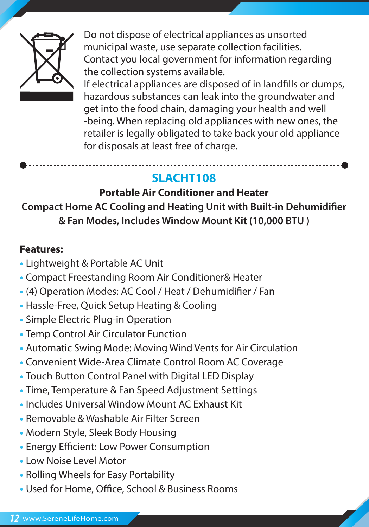

Do not dispose of electrical appliances as unsorted municipal waste, use separate collection facilities. Contact you local government for information regarding the collection systems available.

If electrical appliances are disposed of in landfills or dumps, hazardous substances can leak into the groundwater and get into the food chain, damaging your health and well -being. When replacing old appliances with new ones, the retailer is legally obligated to take back your old appliance for disposals at least free of charge.

#### **SLACHT108**

#### **Portable Air Conditioner and Heater**

#### **Compact Home AC Cooling and Heating Unit with Built-in Dehumidifier & Fan Modes, Includes Window Mount Kit (10,000 BTU )**

#### **Features:**

- **•** Lightweight & Portable AC Unit
- **•** Compact Freestanding Room Air Conditioner& Heater
- (4) Operation Modes: AC Cool / Heat / Dehumidifier / Fan
- **•** Hassle-Free, Quick Setup Heating & Cooling
- **•** Simple Electric Plug-in Operation
- **•** Temp Control Air Circulator Function
- **•** Automatic Swing Mode: Moving Wind Vents for Air Circulation
- **•** Convenient Wide-Area Climate Control Room AC Coverage
- **•** Touch Button Control Panel with Digital LED Display
- **•** Time, Temperature & Fan Speed Adjustment Settings
- **•** Includes Universal Window Mount AC Exhaust Kit
- **•** Removable & Washable Air Filter Screen
- **•** Modern Style, Sleek Body Housing
- Energy Efficient: Low Power Consumption
- **•** Low Noise Level Motor
- **•** Rolling Wheels for Easy Portability
- Used for Home, Office, School & Business Rooms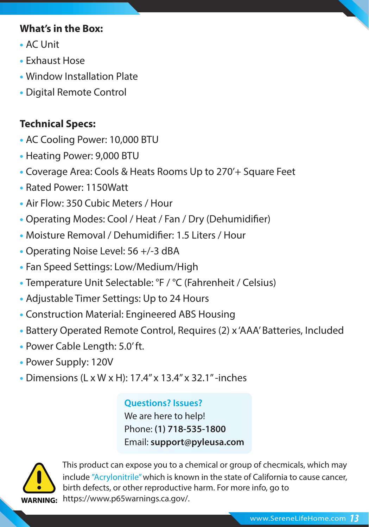#### **What's in the Box:**

- **•** AC Unit
- **•** Exhaust Hose
- **•** Window Installation Plate
- **•** Digital Remote Control

#### **Technical Specs:**

- **•** AC Cooling Power: 10,000 BTU
- **•** Heating Power: 9,000 BTU
- **•** Coverage Area: Cools & Heats Rooms Up to 270'+ Square Feet
- **•** Rated Power: 1150Watt
- **•** Air Flow: 350 Cubic Meters / Hour
- Operating Modes: Cool / Heat / Fan / Dry (Dehumidifier)
- Moisture Removal / Dehumidifier: 1.5 Liters / Hour
- **•** Operating Noise Level: 56 +/-3 dBA
- **•** Fan Speed Settings: Low/Medium/High
- **•** Temperature Unit Selectable: °F / °C (Fahrenheit / Celsius)
- **•** Adjustable Timer Settings: Up to 24 Hours
- **•** Construction Material: Engineered ABS Housing
- **•** Battery Operated Remote Control, Requires (2) x 'AAA' Batteries, Included
- **•** Power Cable Length: 5.0' ft.
- **•** Power Supply: 120V
- **•** Dimensions (L x W x H): 17.4'' x 13.4'' x 32.1'' -inches

**Questions? Issues?** We are here to help! Phone: **(1) 718-535-1800** Email: **support@pyleusa.com**



 This product can expose you to a chemical or group of checmicals, which may include "Acrylonitrile" which is known in the state of California to cause cancer, birth defects, or other reproductive harm. For more info, go to warning: https://www.p65warnings.ca.gov/.